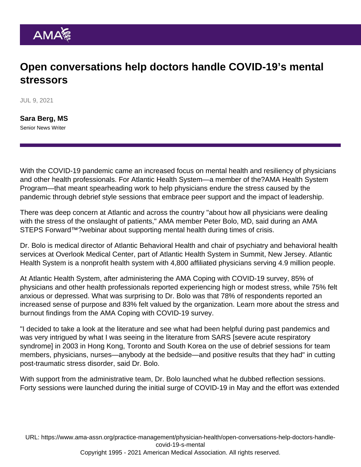## Open conversations help doctors handle COVID-19's mental stressors

JUL 9, 2021

[Sara Berg, MS](https://www.ama-assn.org/news-leadership-viewpoints/authors-news-leadership-viewpoints/sara-berg-ms) Senior News Writer

With the COVID-19 pandemic came an increased focus on mental health and resiliency of physicians and other health professionals. For Atlantic Health System—a member of the?[AMA Health System](https://www.ama-assn.org/amaone/ama-health-system-program) [Program](https://www.ama-assn.org/amaone/ama-health-system-program)—that meant spearheading work to help physicians endure the stress caused by the pandemic through debrief style sessions that embrace peer support and the impact of leadership.

There was deep concern at Atlantic and across the country "about how all physicians were dealing with the stress of the onslaught of patients," AMA member Peter Bolo, MD, said during an [AMA](https://www.ama-assn.org/practice-management/sustainability/ama-steps-forward-webinar-series) [STEPS Forward™](https://www.ama-assn.org/practice-management/sustainability/ama-steps-forward-webinar-series)?webinar about [supporting mental health during times of crisis](https://www.ama-assn.org/practice-management/physician-health/peter-bolo-md-supporting-mental-health-during-times-crisis).

Dr. Bolo is medical director of Atlantic Behavioral Health and chair of psychiatry and behavioral health services at Overlook Medical Center, part of Atlantic Health System in Summit, New Jersey. Atlantic Health System is a nonprofit health system with 4,800 affiliated physicians serving 4.9 million people.

At Atlantic Health System, after administering the [AMA Coping with COVID-19 survey,](https://clinician.health/) 85% of physicians and other health professionals reported experiencing high or modest stress, while 75% felt anxious or depressed. What was surprising to Dr. Bolo was that 78% of respondents reported an increased sense of purpose and 83% felt valued by the organization. Learn more about the [stress and](https://www.thelancet.com/journals/eclinm/article/PIIS2589-5370(21)00159-0/fulltext) [burnout](https://www.thelancet.com/journals/eclinm/article/PIIS2589-5370(21)00159-0/fulltext) findings from the AMA Coping with COVID-19 survey.

"I decided to take a look at the literature and see what had been helpful during past pandemics and was very intrigued by what I was seeing in the literature from SARS [severe acute respiratory syndrome] in 2003 in Hong Kong, Toronto and South Korea on the use of debrief sessions for team members, physicians, nurses—anybody at the bedside—and positive results that they had" in cutting post-traumatic stress disorder, said Dr. Bolo.

With support from the administrative team, Dr. Bolo launched what he dubbed reflection sessions. Forty sessions were launched during the initial surge of COVID-19 in May and the effort was extended

URL: [https://www.ama-assn.org/practice-management/physician-health/open-conversations-help-doctors-handle](https://www.ama-assn.org/practice-management/physician-health/open-conversations-help-doctors-handle-covid-19-s-mental)[covid-19-s-mental](https://www.ama-assn.org/practice-management/physician-health/open-conversations-help-doctors-handle-covid-19-s-mental) Copyright 1995 - 2021 American Medical Association. All rights reserved.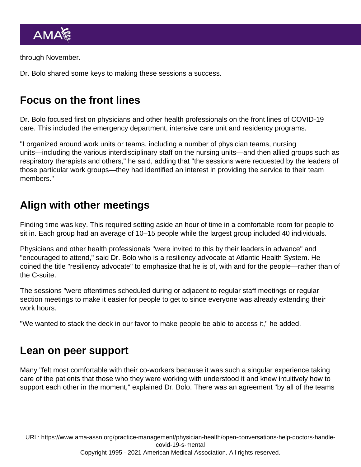through November.

Dr. Bolo shared some keys to making these sessions a success.

## Focus on the front lines

Dr. Bolo focused first on physicians and other health professionals on the front lines of COVID-19 care. This included the emergency department, intensive care unit and residency programs.

"I organized around work units or teams, including a number of physician teams, nursing units—including the various interdisciplinary staff on the nursing units—and then allied groups such as respiratory therapists and others," he said, adding that "the sessions were requested by the leaders of those particular work groups—they had identified an interest in providing the service to their team members."

## Align with other meetings

Finding time was key. This required setting aside an hour of time in a comfortable room for people to sit in. Each group had an average of 10–15 people while the largest group included 40 individuals.

Physicians and other health professionals "were invited to this by their leaders in advance" and "encouraged to attend," said Dr. Bolo who is a resiliency advocate at Atlantic Health System. He coined the title "resiliency advocate" to emphasize that he is of, with and for the people—rather than of the C-suite.

The sessions "were oftentimes scheduled during or adjacent to regular staff meetings or regular section meetings to make it easier for people to get to since everyone was already extending their work hours.

"We wanted to stack the deck in our favor to make people be able to access it," he added.

## Lean on peer support

Many "felt most comfortable with their co-workers because it was such a singular experience taking care of the patients that those who they were working with understood it and knew intuitively how to support each other in the moment," explained Dr. Bolo. There was an agreement "by all of the teams

URL: [https://www.ama-assn.org/practice-management/physician-health/open-conversations-help-doctors-handle](https://www.ama-assn.org/practice-management/physician-health/open-conversations-help-doctors-handle-covid-19-s-mental)[covid-19-s-mental](https://www.ama-assn.org/practice-management/physician-health/open-conversations-help-doctors-handle-covid-19-s-mental) Copyright 1995 - 2021 American Medical Association. All rights reserved.